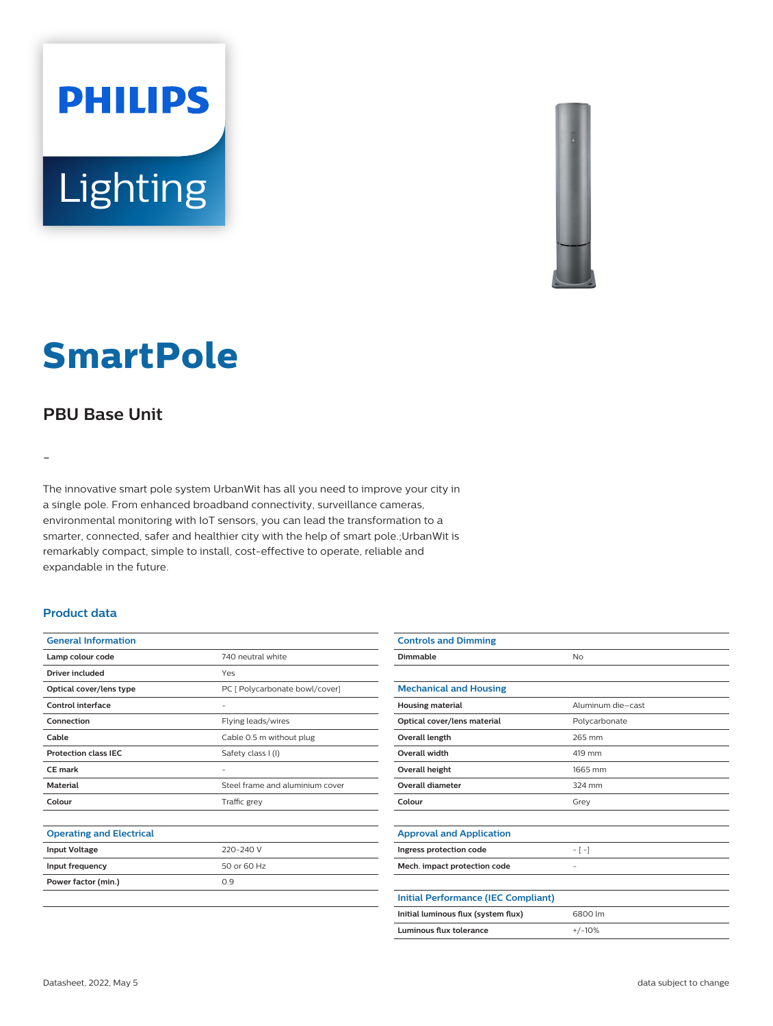



# **SmartPole**

## **PBU Base Unit**

-

The innovative smart pole system UrbanWit has all you need to improve your city in a single pole. From enhanced broadband connectivity, surveillance cameras, environmental monitoring with IoT sensors, you can lead the transformation to a smarter, connected, safer and healthier city with the help of smart pole.;UrbanWit is remarkably compact, simple to install, cost-effective to operate, reliable and expandable in the future.

#### **Product data**

| <b>General Information</b>      |                                 |
|---------------------------------|---------------------------------|
| Lamp colour code                | 740 neutral white               |
| Driver included                 | Yes                             |
| Optical cover/lens type         | PC [ Polycarbonate bowl/cover]  |
| Control interface               | -                               |
| Connection                      | Flying leads/wires              |
| Cable                           | Cable 0.5 m without plug        |
| <b>Protection class IEC</b>     | Safety class I (I)              |
| <b>CE</b> mark                  | -                               |
| <b>Material</b>                 | Steel frame and aluminium cover |
| Colour                          | Traffic grey                    |
|                                 |                                 |
| <b>Operating and Electrical</b> |                                 |
| <b>Input Voltage</b>            | 220-240 V                       |
| Input frequency                 | 50 or 60 Hz                     |
| Power factor (min.)             | 0.9                             |
|                                 |                                 |
|                                 |                                 |

| <b>Controls and Dimming</b>                |                   |
|--------------------------------------------|-------------------|
| Dimmable                                   | <b>No</b>         |
|                                            |                   |
| <b>Mechanical and Housing</b>              |                   |
| <b>Housing material</b>                    | Aluminum die-cast |
| Optical cover/lens material                | Polycarbonate     |
| <b>Overall length</b>                      | 265 mm            |
| <b>Overall width</b>                       | 419 mm            |
| Overall height                             | 1665 mm           |
| <b>Overall diameter</b>                    | 324 mm            |
| Colour                                     | Grey              |
|                                            |                   |
| <b>Approval and Application</b>            |                   |
| Ingress protection code                    | $-[-]$            |
| Mech. impact protection code               | -                 |
|                                            |                   |
| <b>Initial Performance (IEC Compliant)</b> |                   |
| Initial luminous flux (system flux)        | 6800 lm           |
| Luminous flux tolerance                    | $+/-10%$          |